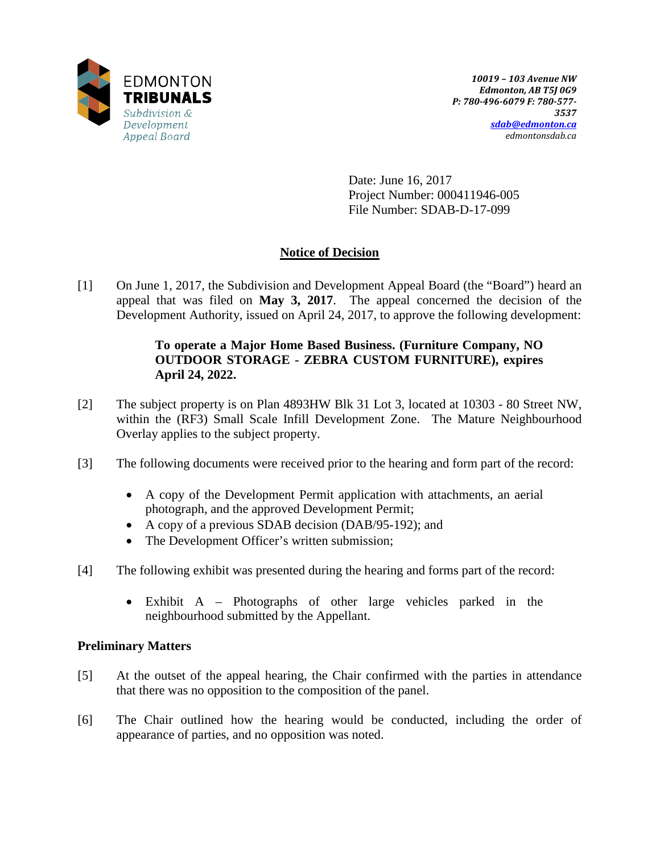

Date: June 16, 2017 Project Number: 000411946-005 File Number: SDAB-D-17-099

# **Notice of Decision**

[1] On June 1, 2017, the Subdivision and Development Appeal Board (the "Board") heard an appeal that was filed on **May 3, 2017**. The appeal concerned the decision of the Development Authority, issued on April 24, 2017, to approve the following development:

## **To operate a Major Home Based Business. (Furniture Company, NO OUTDOOR STORAGE - ZEBRA CUSTOM FURNITURE), expires April 24, 2022.**

- [2] The subject property is on Plan 4893HW Blk 31 Lot 3, located at 10303 80 Street NW, within the (RF3) Small Scale Infill Development Zone. The Mature Neighbourhood Overlay applies to the subject property.
- [3] The following documents were received prior to the hearing and form part of the record:
	- A copy of the Development Permit application with attachments, an aerial photograph, and the approved Development Permit;
	- A copy of a previous SDAB decision (DAB/95-192); and
	- The Development Officer's written submission;
- [4] The following exhibit was presented during the hearing and forms part of the record:
	- Exhibit A Photographs of other large vehicles parked in the neighbourhood submitted by the Appellant.

## **Preliminary Matters**

- [5] At the outset of the appeal hearing, the Chair confirmed with the parties in attendance that there was no opposition to the composition of the panel.
- [6] The Chair outlined how the hearing would be conducted, including the order of appearance of parties, and no opposition was noted.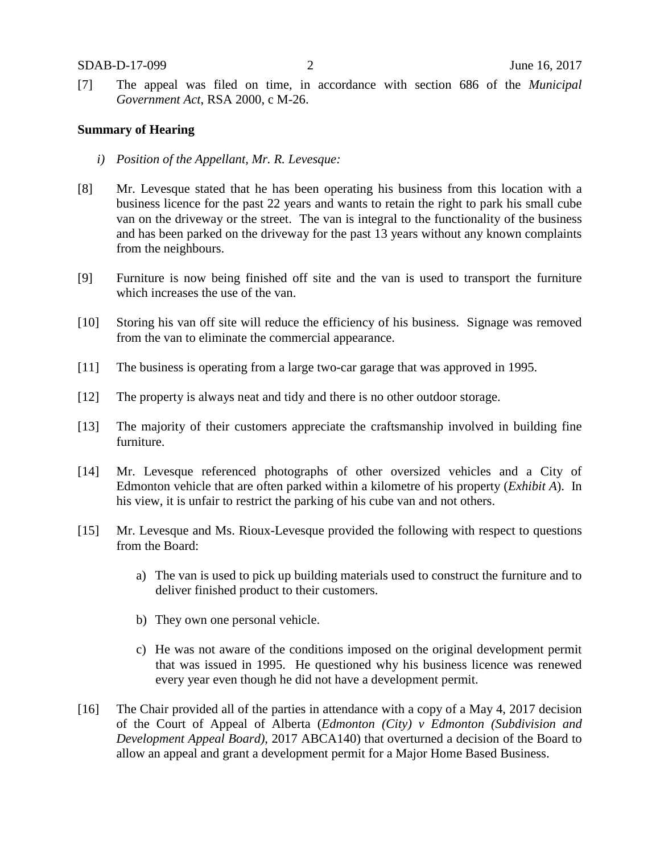[7] The appeal was filed on time, in accordance with section 686 of the *Municipal Government Act*, RSA 2000, c M-26.

#### **Summary of Hearing**

- *i) Position of the Appellant, Mr. R. Levesque:*
- [8] Mr. Levesque stated that he has been operating his business from this location with a business licence for the past 22 years and wants to retain the right to park his small cube van on the driveway or the street. The van is integral to the functionality of the business and has been parked on the driveway for the past 13 years without any known complaints from the neighbours.
- [9] Furniture is now being finished off site and the van is used to transport the furniture which increases the use of the van.
- [10] Storing his van off site will reduce the efficiency of his business. Signage was removed from the van to eliminate the commercial appearance.
- [11] The business is operating from a large two-car garage that was approved in 1995.
- [12] The property is always neat and tidy and there is no other outdoor storage.
- [13] The majority of their customers appreciate the craftsmanship involved in building fine furniture.
- [14] Mr. Levesque referenced photographs of other oversized vehicles and a City of Edmonton vehicle that are often parked within a kilometre of his property (*Exhibit A*). In his view, it is unfair to restrict the parking of his cube van and not others.
- [15] Mr. Levesque and Ms. Rioux-Levesque provided the following with respect to questions from the Board:
	- a) The van is used to pick up building materials used to construct the furniture and to deliver finished product to their customers.
	- b) They own one personal vehicle.
	- c) He was not aware of the conditions imposed on the original development permit that was issued in 1995. He questioned why his business licence was renewed every year even though he did not have a development permit.
- [16] The Chair provided all of the parties in attendance with a copy of a May 4, 2017 decision of the Court of Appeal of Alberta (*Edmonton (City) v Edmonton (Subdivision and Development Appeal Board)*, 2017 ABCA140) that overturned a decision of the Board to allow an appeal and grant a development permit for a Major Home Based Business.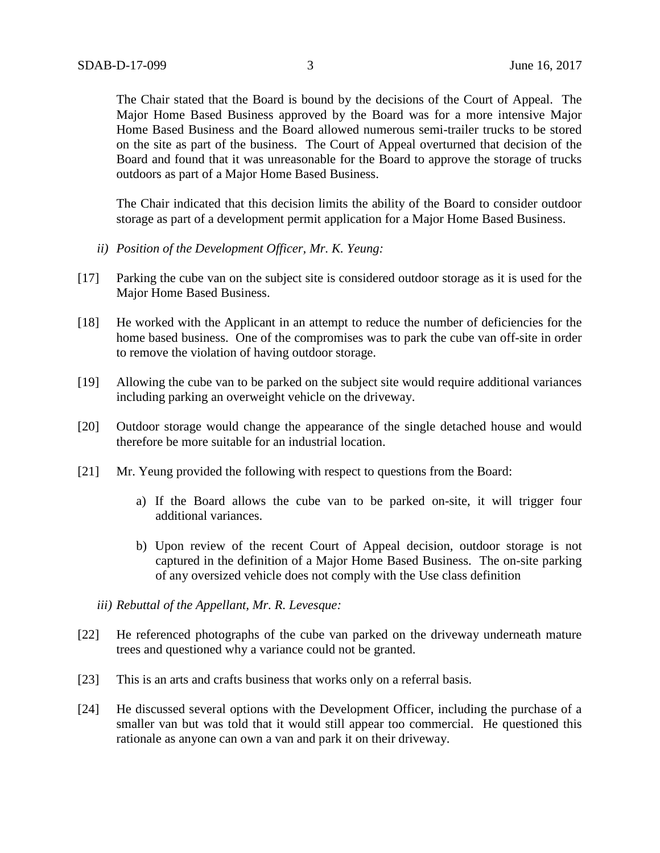The Chair stated that the Board is bound by the decisions of the Court of Appeal. The Major Home Based Business approved by the Board was for a more intensive Major Home Based Business and the Board allowed numerous semi-trailer trucks to be stored on the site as part of the business. The Court of Appeal overturned that decision of the Board and found that it was unreasonable for the Board to approve the storage of trucks outdoors as part of a Major Home Based Business.

The Chair indicated that this decision limits the ability of the Board to consider outdoor storage as part of a development permit application for a Major Home Based Business.

- *ii) Position of the Development Officer, Mr. K. Yeung:*
- [17] Parking the cube van on the subject site is considered outdoor storage as it is used for the Major Home Based Business.
- [18] He worked with the Applicant in an attempt to reduce the number of deficiencies for the home based business. One of the compromises was to park the cube van off-site in order to remove the violation of having outdoor storage.
- [19] Allowing the cube van to be parked on the subject site would require additional variances including parking an overweight vehicle on the driveway.
- [20] Outdoor storage would change the appearance of the single detached house and would therefore be more suitable for an industrial location.
- [21] Mr. Yeung provided the following with respect to questions from the Board:
	- a) If the Board allows the cube van to be parked on-site, it will trigger four additional variances.
	- b) Upon review of the recent Court of Appeal decision, outdoor storage is not captured in the definition of a Major Home Based Business. The on-site parking of any oversized vehicle does not comply with the Use class definition
	- *iii) Rebuttal of the Appellant, Mr. R. Levesque:*
- [22] He referenced photographs of the cube van parked on the driveway underneath mature trees and questioned why a variance could not be granted.
- [23] This is an arts and crafts business that works only on a referral basis.
- [24] He discussed several options with the Development Officer, including the purchase of a smaller van but was told that it would still appear too commercial. He questioned this rationale as anyone can own a van and park it on their driveway.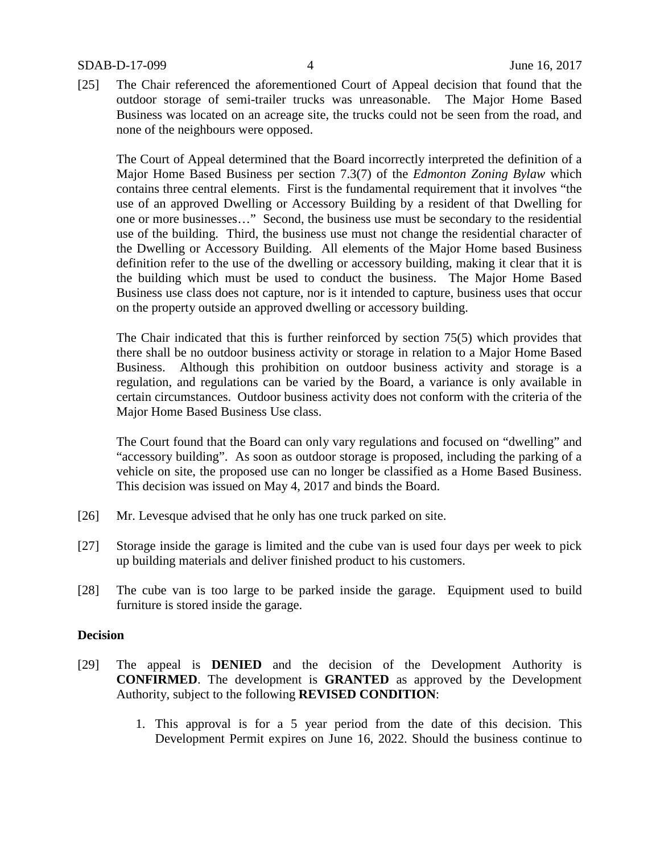[25] The Chair referenced the aforementioned Court of Appeal decision that found that the outdoor storage of semi-trailer trucks was unreasonable. The Major Home Based Business was located on an acreage site, the trucks could not be seen from the road, and none of the neighbours were opposed.

The Court of Appeal determined that the Board incorrectly interpreted the definition of a Major Home Based Business per section 7.3(7) of the *Edmonton Zoning Bylaw* which contains three central elements. First is the fundamental requirement that it involves "the use of an approved Dwelling or Accessory Building by a resident of that Dwelling for one or more businesses…" Second, the business use must be secondary to the residential use of the building. Third, the business use must not change the residential character of the Dwelling or Accessory Building. All elements of the Major Home based Business definition refer to the use of the dwelling or accessory building, making it clear that it is the building which must be used to conduct the business. The Major Home Based Business use class does not capture, nor is it intended to capture, business uses that occur on the property outside an approved dwelling or accessory building.

The Chair indicated that this is further reinforced by section 75(5) which provides that there shall be no outdoor business activity or storage in relation to a Major Home Based Business. Although this prohibition on outdoor business activity and storage is a regulation, and regulations can be varied by the Board, a variance is only available in certain circumstances. Outdoor business activity does not conform with the criteria of the Major Home Based Business Use class.

The Court found that the Board can only vary regulations and focused on "dwelling" and "accessory building". As soon as outdoor storage is proposed, including the parking of a vehicle on site, the proposed use can no longer be classified as a Home Based Business. This decision was issued on May 4, 2017 and binds the Board.

- [26] Mr. Levesque advised that he only has one truck parked on site.
- [27] Storage inside the garage is limited and the cube van is used four days per week to pick up building materials and deliver finished product to his customers.
- [28] The cube van is too large to be parked inside the garage. Equipment used to build furniture is stored inside the garage.

#### **Decision**

- [29] The appeal is **DENIED** and the decision of the Development Authority is **CONFIRMED**. The development is **GRANTED** as approved by the Development Authority, subject to the following **REVISED CONDITION**:
	- 1. This approval is for a 5 year period from the date of this decision. This Development Permit expires on June 16, 2022. Should the business continue to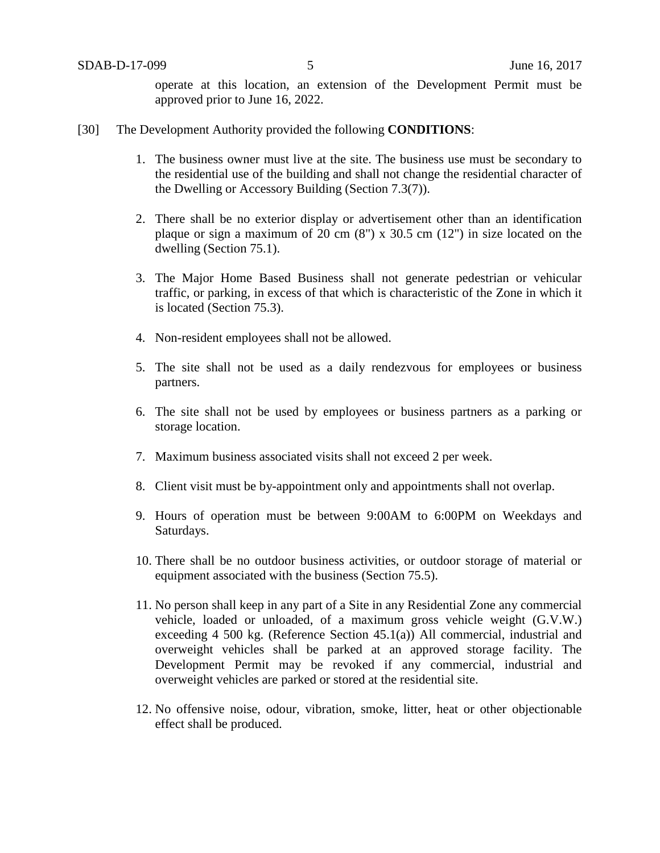operate at this location, an extension of the Development Permit must be approved prior to June 16, 2022.

- [30] The Development Authority provided the following **CONDITIONS**:
	- 1. The business owner must live at the site. The business use must be secondary to the residential use of the building and shall not change the residential character of the Dwelling or Accessory Building (Section 7.3(7)).
	- 2. There shall be no exterior display or advertisement other than an identification plaque or sign a maximum of 20 cm (8") x 30.5 cm (12") in size located on the dwelling (Section 75.1).
	- 3. The Major Home Based Business shall not generate pedestrian or vehicular traffic, or parking, in excess of that which is characteristic of the Zone in which it is located (Section 75.3).
	- 4. Non-resident employees shall not be allowed.
	- 5. The site shall not be used as a daily rendezvous for employees or business partners.
	- 6. The site shall not be used by employees or business partners as a parking or storage location.
	- 7. Maximum business associated visits shall not exceed 2 per week.
	- 8. Client visit must be by-appointment only and appointments shall not overlap.
	- 9. Hours of operation must be between 9:00AM to 6:00PM on Weekdays and Saturdays.
	- 10. There shall be no outdoor business activities, or outdoor storage of material or equipment associated with the business (Section 75.5).
	- 11. No person shall keep in any part of a Site in any Residential Zone any commercial vehicle, loaded or unloaded, of a maximum gross vehicle weight (G.V.W.) exceeding 4 500 kg. (Reference Section 45.1(a)) All commercial, industrial and overweight vehicles shall be parked at an approved storage facility. The Development Permit may be revoked if any commercial, industrial and overweight vehicles are parked or stored at the residential site.
	- 12. No offensive noise, odour, vibration, smoke, litter, heat or other objectionable effect shall be produced.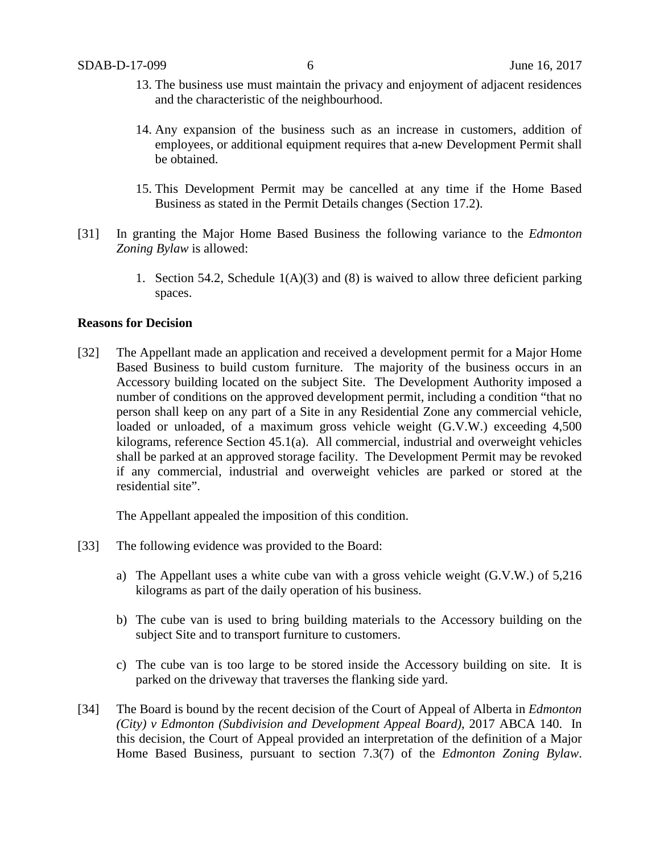- 13. The business use must maintain the privacy and enjoyment of adjacent residences and the characteristic of the neighbourhood.
- 14. Any expansion of the business such as an increase in customers, addition of employees, or additional equipment requires that a new Development Permit shall be obtained.
- 15. This Development Permit may be cancelled at any time if the Home Based Business as stated in the Permit Details changes (Section 17.2).
- [31] In granting the Major Home Based Business the following variance to the *Edmonton Zoning Bylaw* is allowed:
	- 1. Section 54.2, Schedule  $1(A)(3)$  and  $(8)$  is waived to allow three deficient parking spaces.

#### **Reasons for Decision**

[32] The Appellant made an application and received a development permit for a Major Home Based Business to build custom furniture. The majority of the business occurs in an Accessory building located on the subject Site. The Development Authority imposed a number of conditions on the approved development permit, including a condition "that no person shall keep on any part of a Site in any Residential Zone any commercial vehicle, loaded or unloaded, of a maximum gross vehicle weight (G.V.W.) exceeding 4,500 kilograms, reference Section 45.1(a). All commercial, industrial and overweight vehicles shall be parked at an approved storage facility. The Development Permit may be revoked if any commercial, industrial and overweight vehicles are parked or stored at the residential site".

The Appellant appealed the imposition of this condition.

- [33] The following evidence was provided to the Board:
	- a) The Appellant uses a white cube van with a gross vehicle weight (G.V.W.) of 5,216 kilograms as part of the daily operation of his business.
	- b) The cube van is used to bring building materials to the Accessory building on the subject Site and to transport furniture to customers.
	- c) The cube van is too large to be stored inside the Accessory building on site. It is parked on the driveway that traverses the flanking side yard.
- [34] The Board is bound by the recent decision of the Court of Appeal of Alberta in *Edmonton (City) v Edmonton (Subdivision and Development Appeal Board)*, 2017 ABCA 140. In this decision, the Court of Appeal provided an interpretation of the definition of a Major Home Based Business, pursuant to section 7.3(7) of the *Edmonton Zoning Bylaw*.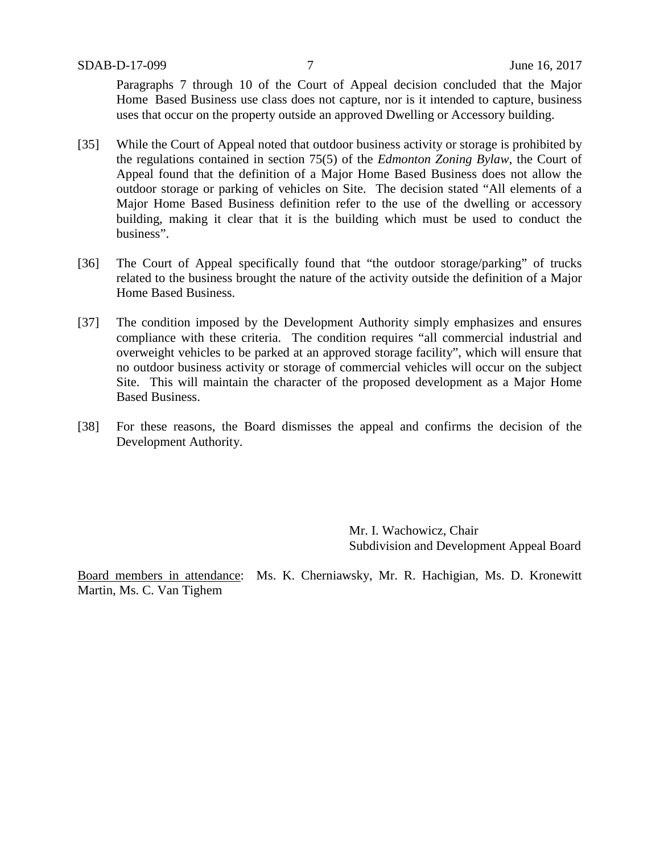Paragraphs 7 through 10 of the Court of Appeal decision concluded that the Major Home Based Business use class does not capture, nor is it intended to capture, business uses that occur on the property outside an approved Dwelling or Accessory building.

- [35] While the Court of Appeal noted that outdoor business activity or storage is prohibited by the regulations contained in section 75(5) of the *Edmonton Zoning Bylaw*, the Court of Appeal found that the definition of a Major Home Based Business does not allow the outdoor storage or parking of vehicles on Site. The decision stated "All elements of a Major Home Based Business definition refer to the use of the dwelling or accessory building, making it clear that it is the building which must be used to conduct the business".
- [36] The Court of Appeal specifically found that "the outdoor storage/parking" of trucks related to the business brought the nature of the activity outside the definition of a Major Home Based Business.
- [37] The condition imposed by the Development Authority simply emphasizes and ensures compliance with these criteria. The condition requires "all commercial industrial and overweight vehicles to be parked at an approved storage facility", which will ensure that no outdoor business activity or storage of commercial vehicles will occur on the subject Site. This will maintain the character of the proposed development as a Major Home Based Business.
- [38] For these reasons, the Board dismisses the appeal and confirms the decision of the Development Authority.

Mr. I. Wachowicz, Chair Subdivision and Development Appeal Board

Board members in attendance: Ms. K. Cherniawsky, Mr. R. Hachigian, Ms. D. Kronewitt Martin, Ms. C. Van Tighem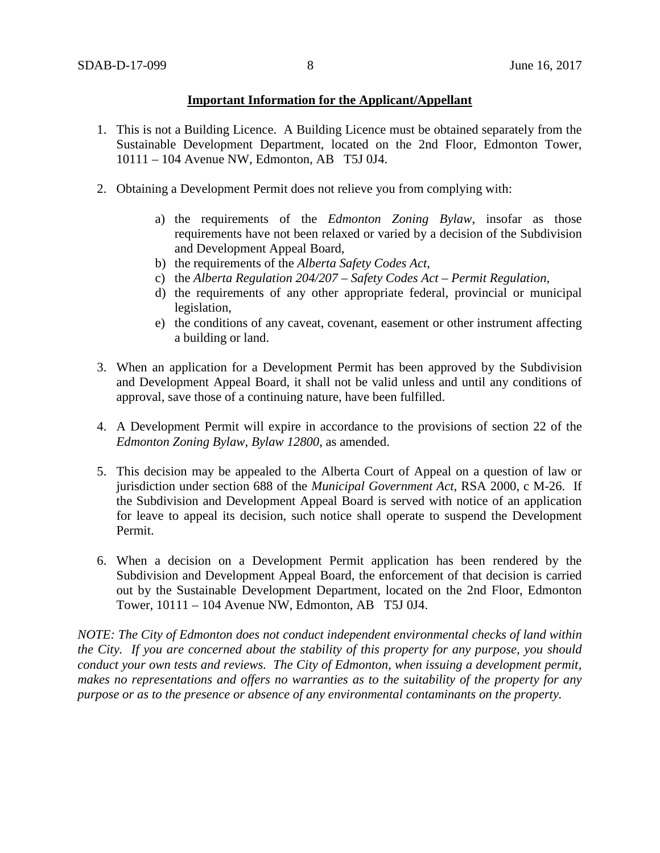### **Important Information for the Applicant/Appellant**

- 1. This is not a Building Licence. A Building Licence must be obtained separately from the Sustainable Development Department, located on the 2nd Floor, Edmonton Tower, 10111 – 104 Avenue NW, Edmonton, AB T5J 0J4.
- 2. Obtaining a Development Permit does not relieve you from complying with:
	- a) the requirements of the *Edmonton Zoning Bylaw*, insofar as those requirements have not been relaxed or varied by a decision of the Subdivision and Development Appeal Board,
	- b) the requirements of the *Alberta Safety Codes Act*,
	- c) the *Alberta Regulation 204/207 – Safety Codes Act – Permit Regulation*,
	- d) the requirements of any other appropriate federal, provincial or municipal legislation,
	- e) the conditions of any caveat, covenant, easement or other instrument affecting a building or land.
- 3. When an application for a Development Permit has been approved by the Subdivision and Development Appeal Board, it shall not be valid unless and until any conditions of approval, save those of a continuing nature, have been fulfilled.
- 4. A Development Permit will expire in accordance to the provisions of section 22 of the *Edmonton Zoning Bylaw, Bylaw 12800*, as amended.
- 5. This decision may be appealed to the Alberta Court of Appeal on a question of law or jurisdiction under section 688 of the *Municipal Government Act*, RSA 2000, c M-26. If the Subdivision and Development Appeal Board is served with notice of an application for leave to appeal its decision, such notice shall operate to suspend the Development Permit.
- 6. When a decision on a Development Permit application has been rendered by the Subdivision and Development Appeal Board, the enforcement of that decision is carried out by the Sustainable Development Department, located on the 2nd Floor, Edmonton Tower, 10111 – 104 Avenue NW, Edmonton, AB T5J 0J4.

*NOTE: The City of Edmonton does not conduct independent environmental checks of land within the City. If you are concerned about the stability of this property for any purpose, you should conduct your own tests and reviews. The City of Edmonton, when issuing a development permit, makes no representations and offers no warranties as to the suitability of the property for any purpose or as to the presence or absence of any environmental contaminants on the property.*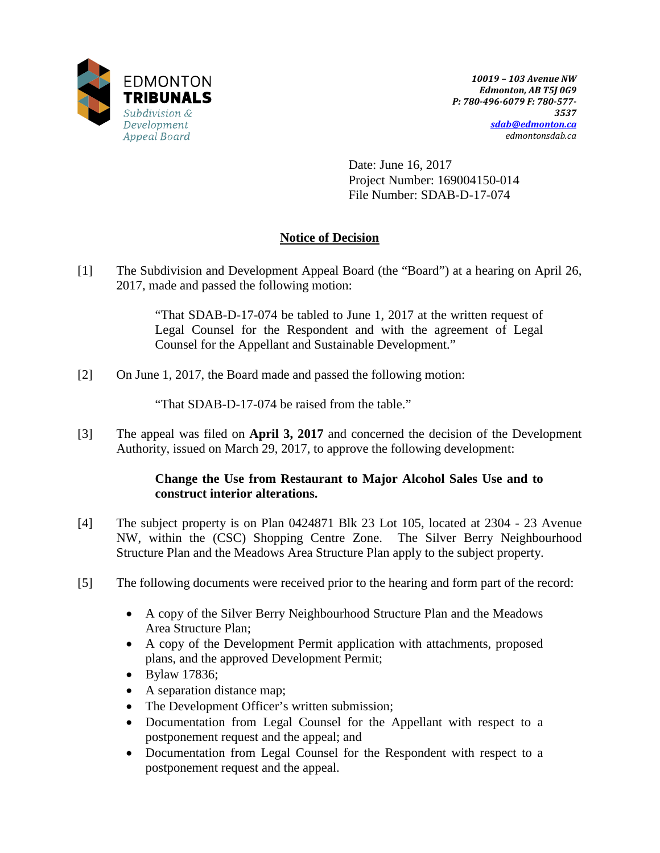

Date: June 16, 2017 Project Number: 169004150-014 File Number: SDAB-D-17-074

## **Notice of Decision**

[1] The Subdivision and Development Appeal Board (the "Board") at a hearing on April 26, 2017, made and passed the following motion:

> "That SDAB-D-17-074 be tabled to June 1, 2017 at the written request of Legal Counsel for the Respondent and with the agreement of Legal Counsel for the Appellant and Sustainable Development."

[2] On June 1, 2017, the Board made and passed the following motion:

"That SDAB-D-17-074 be raised from the table."

[3] The appeal was filed on **April 3, 2017** and concerned the decision of the Development Authority, issued on March 29, 2017, to approve the following development:

## **Change the Use from Restaurant to Major Alcohol Sales Use and to construct interior alterations.**

- [4] The subject property is on Plan 0424871 Blk 23 Lot 105, located at 2304 23 Avenue NW, within the (CSC) Shopping Centre Zone. The Silver Berry Neighbourhood Structure Plan and the Meadows Area Structure Plan apply to the subject property.
- [5] The following documents were received prior to the hearing and form part of the record:
	- A copy of the Silver Berry Neighbourhood Structure Plan and the Meadows Area Structure Plan;
	- A copy of the Development Permit application with attachments, proposed plans, and the approved Development Permit;
	- Bylaw 17836;
	- A separation distance map;
	- The Development Officer's written submission;
	- Documentation from Legal Counsel for the Appellant with respect to a postponement request and the appeal; and
	- Documentation from Legal Counsel for the Respondent with respect to a postponement request and the appeal.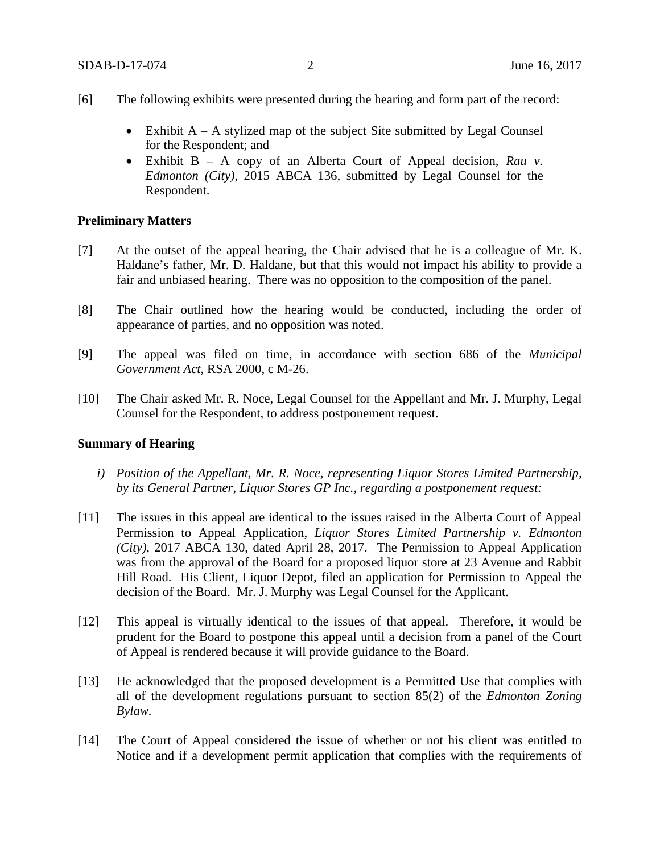- [6] The following exhibits were presented during the hearing and form part of the record:
	- Exhibit  $A A$  stylized map of the subject Site submitted by Legal Counsel for the Respondent; and
	- Exhibit B A copy of an Alberta Court of Appeal decision, *Rau v. Edmonton (City)*, 2015 ABCA 136, submitted by Legal Counsel for the Respondent.

#### **Preliminary Matters**

- [7] At the outset of the appeal hearing, the Chair advised that he is a colleague of Mr. K. Haldane's father, Mr. D. Haldane, but that this would not impact his ability to provide a fair and unbiased hearing. There was no opposition to the composition of the panel.
- [8] The Chair outlined how the hearing would be conducted, including the order of appearance of parties, and no opposition was noted.
- [9] The appeal was filed on time, in accordance with section 686 of the *Municipal Government Act*, RSA 2000, c M-26.
- [10] The Chair asked Mr. R. Noce, Legal Counsel for the Appellant and Mr. J. Murphy, Legal Counsel for the Respondent, to address postponement request.

#### **Summary of Hearing**

- *i) Position of the Appellant, Mr. R. Noce, representing Liquor Stores Limited Partnership, by its General Partner, Liquor Stores GP Inc., regarding a postponement request:*
- [11] The issues in this appeal are identical to the issues raised in the Alberta Court of Appeal Permission to Appeal Application, *Liquor Stores Limited Partnership v. Edmonton (City)*, 2017 ABCA 130, dated April 28, 2017. The Permission to Appeal Application was from the approval of the Board for a proposed liquor store at 23 Avenue and Rabbit Hill Road. His Client, Liquor Depot, filed an application for Permission to Appeal the decision of the Board. Mr. J. Murphy was Legal Counsel for the Applicant.
- [12] This appeal is virtually identical to the issues of that appeal. Therefore, it would be prudent for the Board to postpone this appeal until a decision from a panel of the Court of Appeal is rendered because it will provide guidance to the Board.
- [13] He acknowledged that the proposed development is a Permitted Use that complies with all of the development regulations pursuant to section 85(2) of the *Edmonton Zoning Bylaw.*
- [14] The Court of Appeal considered the issue of whether or not his client was entitled to Notice and if a development permit application that complies with the requirements of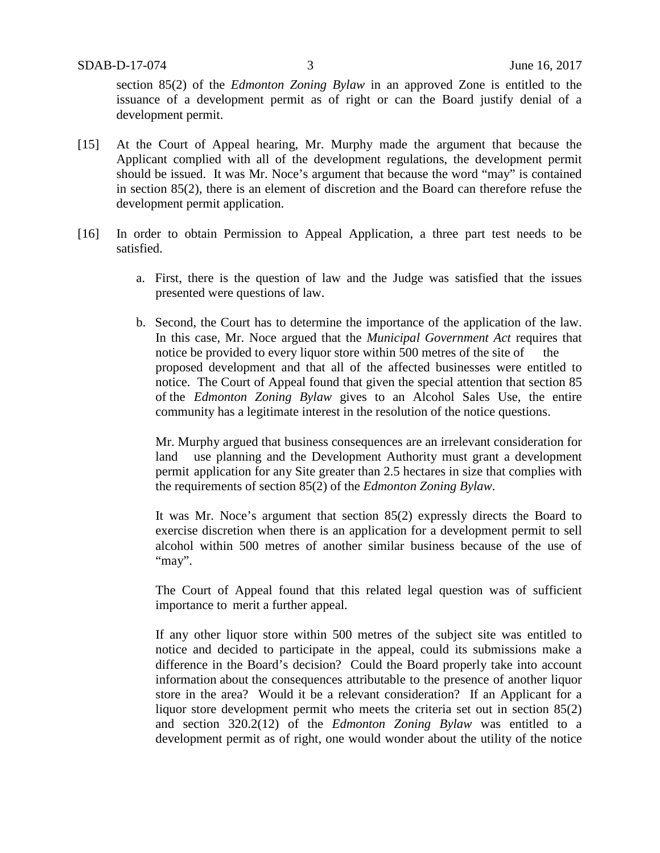section 85(2) of the *Edmonton Zoning Bylaw* in an approved Zone is entitled to the issuance of a development permit as of right or can the Board justify denial of a development permit.

- [15] At the Court of Appeal hearing, Mr. Murphy made the argument that because the Applicant complied with all of the development regulations, the development permit should be issued. It was Mr. Noce's argument that because the word "may" is contained in section 85(2), there is an element of discretion and the Board can therefore refuse the development permit application.
- [16] In order to obtain Permission to Appeal Application, a three part test needs to be satisfied.
	- a. First, there is the question of law and the Judge was satisfied that the issues presented were questions of law.
	- b. Second, the Court has to determine the importance of the application of the law. In this case, Mr. Noce argued that the *Municipal Government Act* requires that notice be provided to every liquor store within 500 metres of the site of the proposed development and that all of the affected businesses were entitled to notice. The Court of Appeal found that given the special attention that section 85 of the *Edmonton Zoning Bylaw* gives to an Alcohol Sales Use, the entire community has a legitimate interest in the resolution of the notice questions.

Mr. Murphy argued that business consequences are an irrelevant consideration for land use planning and the Development Authority must grant a development permit application for any Site greater than 2.5 hectares in size that complies with the requirements of section 85(2) of the *Edmonton Zoning Bylaw*.

It was Mr. Noce's argument that section 85(2) expressly directs the Board to exercise discretion when there is an application for a development permit to sell alcohol within 500 metres of another similar business because of the use of "may".

The Court of Appeal found that this related legal question was of sufficient importance to merit a further appeal.

If any other liquor store within 500 metres of the subject site was entitled to notice and decided to participate in the appeal, could its submissions make a difference in the Board's decision? Could the Board properly take into account information about the consequences attributable to the presence of another liquor store in the area? Would it be a relevant consideration? If an Applicant for a liquor store development permit who meets the criteria set out in section 85(2) and section 320.2(12) of the *Edmonton Zoning Bylaw* was entitled to a development permit as of right, one would wonder about the utility of the notice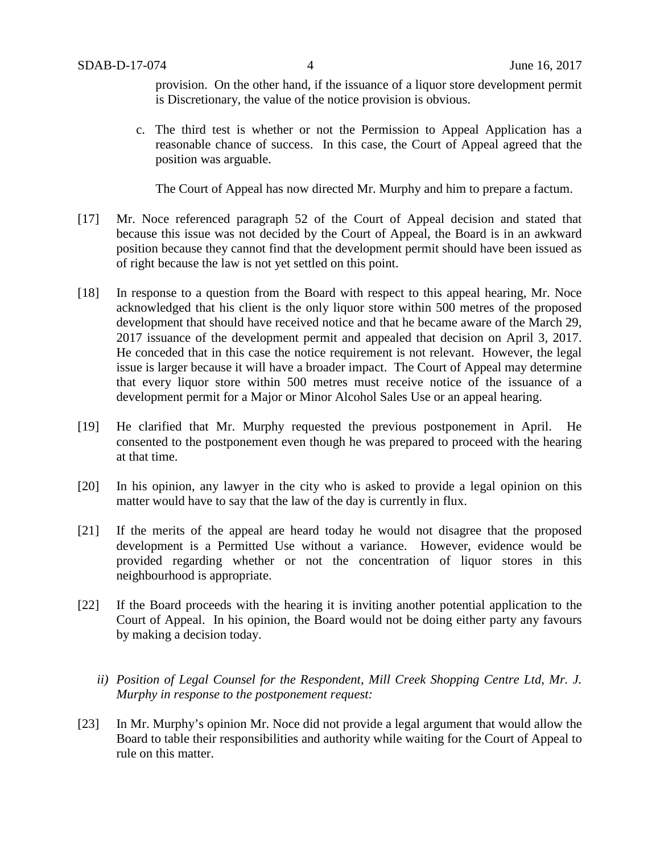provision. On the other hand, if the issuance of a liquor store development permit is Discretionary, the value of the notice provision is obvious.

c. The third test is whether or not the Permission to Appeal Application has a reasonable chance of success. In this case, the Court of Appeal agreed that the position was arguable.

The Court of Appeal has now directed Mr. Murphy and him to prepare a factum.

- [17] Mr. Noce referenced paragraph 52 of the Court of Appeal decision and stated that because this issue was not decided by the Court of Appeal, the Board is in an awkward position because they cannot find that the development permit should have been issued as of right because the law is not yet settled on this point.
- [18] In response to a question from the Board with respect to this appeal hearing, Mr. Noce acknowledged that his client is the only liquor store within 500 metres of the proposed development that should have received notice and that he became aware of the March 29, 2017 issuance of the development permit and appealed that decision on April 3, 2017. He conceded that in this case the notice requirement is not relevant. However, the legal issue is larger because it will have a broader impact. The Court of Appeal may determine that every liquor store within 500 metres must receive notice of the issuance of a development permit for a Major or Minor Alcohol Sales Use or an appeal hearing.
- [19] He clarified that Mr. Murphy requested the previous postponement in April. He consented to the postponement even though he was prepared to proceed with the hearing at that time.
- [20] In his opinion, any lawyer in the city who is asked to provide a legal opinion on this matter would have to say that the law of the day is currently in flux.
- [21] If the merits of the appeal are heard today he would not disagree that the proposed development is a Permitted Use without a variance. However, evidence would be provided regarding whether or not the concentration of liquor stores in this neighbourhood is appropriate.
- [22] If the Board proceeds with the hearing it is inviting another potential application to the Court of Appeal. In his opinion, the Board would not be doing either party any favours by making a decision today.
	- *ii) Position of Legal Counsel for the Respondent, Mill Creek Shopping Centre Ltd, Mr. J. Murphy in response to the postponement request:*
- [23] In Mr. Murphy's opinion Mr. Noce did not provide a legal argument that would allow the Board to table their responsibilities and authority while waiting for the Court of Appeal to rule on this matter.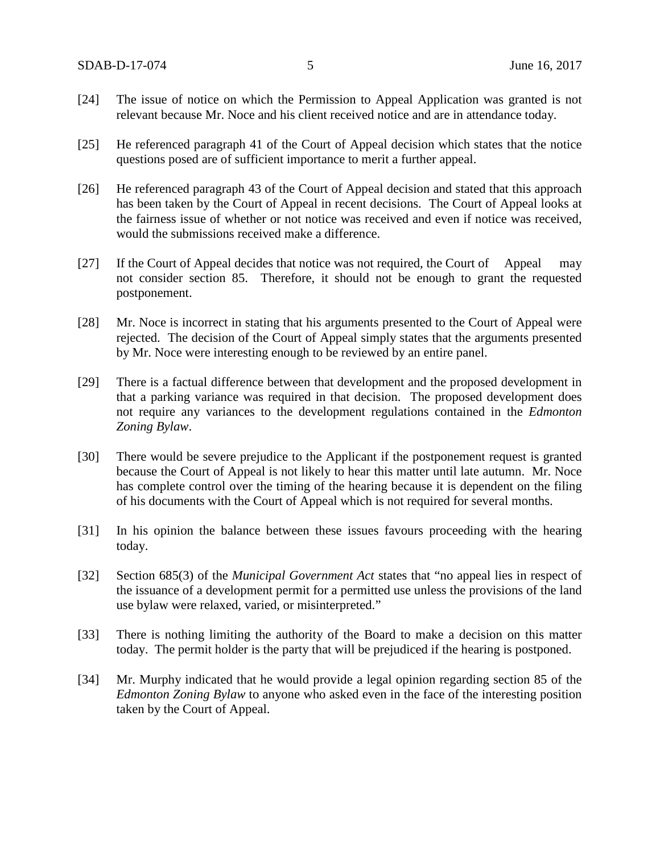- [24] The issue of notice on which the Permission to Appeal Application was granted is not relevant because Mr. Noce and his client received notice and are in attendance today.
- [25] He referenced paragraph 41 of the Court of Appeal decision which states that the notice questions posed are of sufficient importance to merit a further appeal.
- [26] He referenced paragraph 43 of the Court of Appeal decision and stated that this approach has been taken by the Court of Appeal in recent decisions. The Court of Appeal looks at the fairness issue of whether or not notice was received and even if notice was received, would the submissions received make a difference.
- [27] If the Court of Appeal decides that notice was not required, the Court of Appeal may not consider section 85. Therefore, it should not be enough to grant the requested postponement.
- [28] Mr. Noce is incorrect in stating that his arguments presented to the Court of Appeal were rejected. The decision of the Court of Appeal simply states that the arguments presented by Mr. Noce were interesting enough to be reviewed by an entire panel.
- [29] There is a factual difference between that development and the proposed development in that a parking variance was required in that decision. The proposed development does not require any variances to the development regulations contained in the *Edmonton Zoning Bylaw*.
- [30] There would be severe prejudice to the Applicant if the postponement request is granted because the Court of Appeal is not likely to hear this matter until late autumn. Mr. Noce has complete control over the timing of the hearing because it is dependent on the filing of his documents with the Court of Appeal which is not required for several months.
- [31] In his opinion the balance between these issues favours proceeding with the hearing today.
- [32] Section 685(3) of the *Municipal Government Act* states that "no appeal lies in respect of the issuance of a development permit for a permitted use unless the provisions of the land use bylaw were relaxed, varied, or misinterpreted."
- [33] There is nothing limiting the authority of the Board to make a decision on this matter today. The permit holder is the party that will be prejudiced if the hearing is postponed.
- [34] Mr. Murphy indicated that he would provide a legal opinion regarding section 85 of the *Edmonton Zoning Bylaw* to anyone who asked even in the face of the interesting position taken by the Court of Appeal.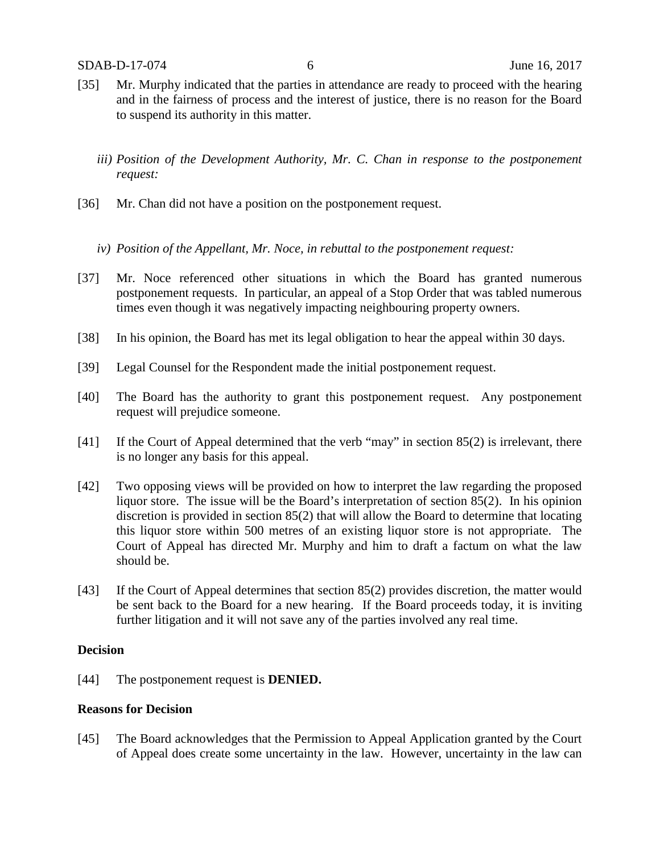- [35] Mr. Murphy indicated that the parties in attendance are ready to proceed with the hearing and in the fairness of process and the interest of justice, there is no reason for the Board to suspend its authority in this matter.
	- *iii) Position of the Development Authority, Mr. C. Chan in response to the postponement request:*
- [36] Mr. Chan did not have a position on the postponement request.
	- *iv) Position of the Appellant, Mr. Noce, in rebuttal to the postponement request:*
- [37] Mr. Noce referenced other situations in which the Board has granted numerous postponement requests. In particular, an appeal of a Stop Order that was tabled numerous times even though it was negatively impacting neighbouring property owners.
- [38] In his opinion, the Board has met its legal obligation to hear the appeal within 30 days.
- [39] Legal Counsel for the Respondent made the initial postponement request.
- [40] The Board has the authority to grant this postponement request. Any postponement request will prejudice someone.
- [41] If the Court of Appeal determined that the verb "may" in section 85(2) is irrelevant, there is no longer any basis for this appeal.
- [42] Two opposing views will be provided on how to interpret the law regarding the proposed liquor store. The issue will be the Board's interpretation of section 85(2). In his opinion discretion is provided in section 85(2) that will allow the Board to determine that locating this liquor store within 500 metres of an existing liquor store is not appropriate. The Court of Appeal has directed Mr. Murphy and him to draft a factum on what the law should be.
- [43] If the Court of Appeal determines that section 85(2) provides discretion, the matter would be sent back to the Board for a new hearing. If the Board proceeds today, it is inviting further litigation and it will not save any of the parties involved any real time.

#### **Decision**

[44] The postponement request is **DENIED.**

#### **Reasons for Decision**

[45] The Board acknowledges that the Permission to Appeal Application granted by the Court of Appeal does create some uncertainty in the law. However, uncertainty in the law can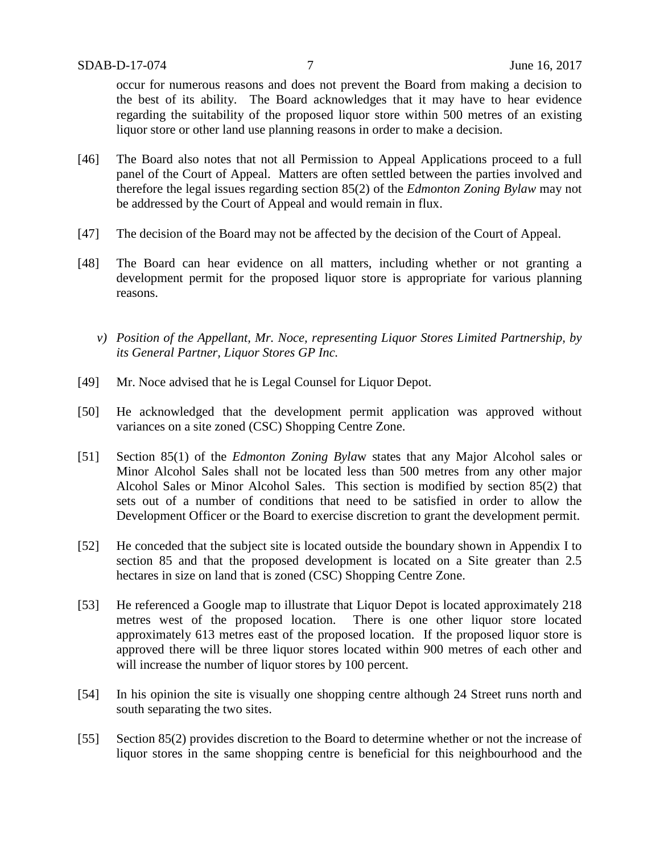occur for numerous reasons and does not prevent the Board from making a decision to the best of its ability. The Board acknowledges that it may have to hear evidence regarding the suitability of the proposed liquor store within 500 metres of an existing liquor store or other land use planning reasons in order to make a decision.

- [46] The Board also notes that not all Permission to Appeal Applications proceed to a full panel of the Court of Appeal. Matters are often settled between the parties involved and therefore the legal issues regarding section 85(2) of the *Edmonton Zoning Bylaw* may not be addressed by the Court of Appeal and would remain in flux.
- [47] The decision of the Board may not be affected by the decision of the Court of Appeal.
- [48] The Board can hear evidence on all matters, including whether or not granting a development permit for the proposed liquor store is appropriate for various planning reasons.
	- *v) Position of the Appellant, Mr. Noce, representing Liquor Stores Limited Partnership, by its General Partner, Liquor Stores GP Inc.*
- [49] Mr. Noce advised that he is Legal Counsel for Liquor Depot.
- [50] He acknowledged that the development permit application was approved without variances on a site zoned (CSC) Shopping Centre Zone.
- [51] Section 85(1) of the *Edmonton Zoning Byla*w states that any Major Alcohol sales or Minor Alcohol Sales shall not be located less than 500 metres from any other major Alcohol Sales or Minor Alcohol Sales. This section is modified by section 85(2) that sets out of a number of conditions that need to be satisfied in order to allow the Development Officer or the Board to exercise discretion to grant the development permit.
- [52] He conceded that the subject site is located outside the boundary shown in Appendix I to section 85 and that the proposed development is located on a Site greater than 2.5 hectares in size on land that is zoned (CSC) Shopping Centre Zone.
- [53] He referenced a Google map to illustrate that Liquor Depot is located approximately 218 metres west of the proposed location. There is one other liquor store located approximately 613 metres east of the proposed location. If the proposed liquor store is approved there will be three liquor stores located within 900 metres of each other and will increase the number of liquor stores by 100 percent.
- [54] In his opinion the site is visually one shopping centre although 24 Street runs north and south separating the two sites.
- [55] Section 85(2) provides discretion to the Board to determine whether or not the increase of liquor stores in the same shopping centre is beneficial for this neighbourhood and the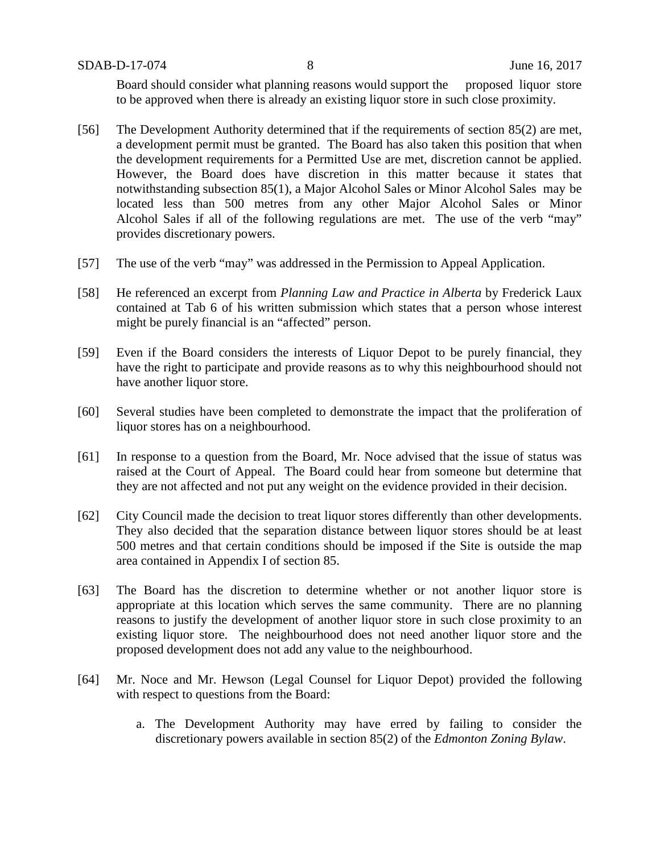SDAB-D-17-074 8 June 16, 2017

Board should consider what planning reasons would support the proposed liquor store to be approved when there is already an existing liquor store in such close proximity.

- [56] The Development Authority determined that if the requirements of section 85(2) are met, a development permit must be granted. The Board has also taken this position that when the development requirements for a Permitted Use are met, discretion cannot be applied. However, the Board does have discretion in this matter because it states that notwithstanding subsection 85(1), a Major Alcohol Sales or Minor Alcohol Sales may be located less than 500 metres from any other Major Alcohol Sales or Minor Alcohol Sales if all of the following regulations are met. The use of the verb "may" provides discretionary powers.
- [57] The use of the verb "may" was addressed in the Permission to Appeal Application.
- [58] He referenced an excerpt from *Planning Law and Practice in Alberta* by Frederick Laux contained at Tab 6 of his written submission which states that a person whose interest might be purely financial is an "affected" person.
- [59] Even if the Board considers the interests of Liquor Depot to be purely financial, they have the right to participate and provide reasons as to why this neighbourhood should not have another liquor store.
- [60] Several studies have been completed to demonstrate the impact that the proliferation of liquor stores has on a neighbourhood.
- [61] In response to a question from the Board, Mr. Noce advised that the issue of status was raised at the Court of Appeal. The Board could hear from someone but determine that they are not affected and not put any weight on the evidence provided in their decision.
- [62] City Council made the decision to treat liquor stores differently than other developments. They also decided that the separation distance between liquor stores should be at least 500 metres and that certain conditions should be imposed if the Site is outside the map area contained in Appendix I of section 85.
- [63] The Board has the discretion to determine whether or not another liquor store is appropriate at this location which serves the same community. There are no planning reasons to justify the development of another liquor store in such close proximity to an existing liquor store. The neighbourhood does not need another liquor store and the proposed development does not add any value to the neighbourhood.
- [64] Mr. Noce and Mr. Hewson (Legal Counsel for Liquor Depot) provided the following with respect to questions from the Board:
	- a. The Development Authority may have erred by failing to consider the discretionary powers available in section 85(2) of the *Edmonton Zoning Bylaw*.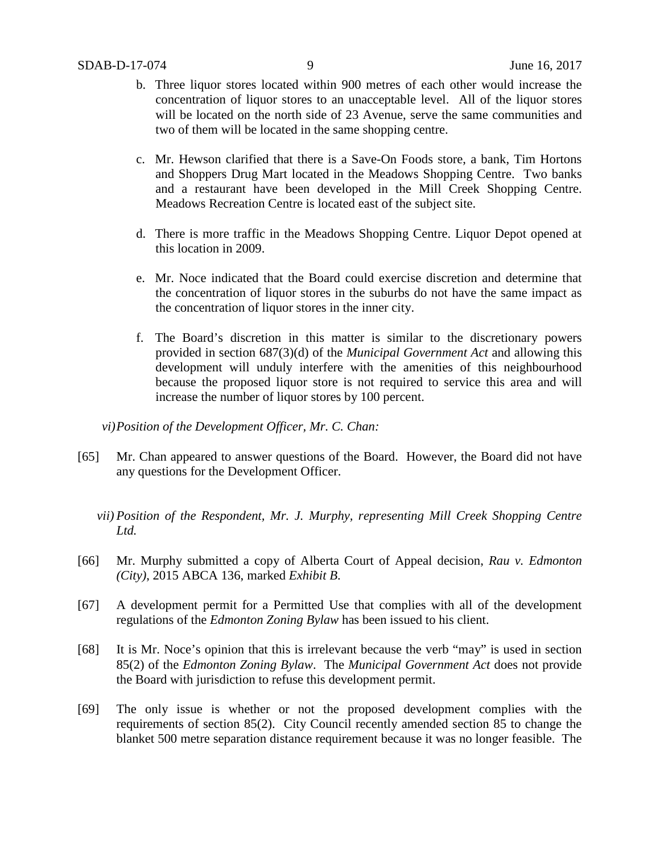- b. Three liquor stores located within 900 metres of each other would increase the concentration of liquor stores to an unacceptable level. All of the liquor stores will be located on the north side of 23 Avenue, serve the same communities and two of them will be located in the same shopping centre.
- c. Mr. Hewson clarified that there is a Save-On Foods store, a bank, Tim Hortons and Shoppers Drug Mart located in the Meadows Shopping Centre. Two banks and a restaurant have been developed in the Mill Creek Shopping Centre. Meadows Recreation Centre is located east of the subject site.
- d. There is more traffic in the Meadows Shopping Centre. Liquor Depot opened at this location in 2009.
- e. Mr. Noce indicated that the Board could exercise discretion and determine that the concentration of liquor stores in the suburbs do not have the same impact as the concentration of liquor stores in the inner city.
- f. The Board's discretion in this matter is similar to the discretionary powers provided in section 687(3)(d) of the *Municipal Government Act* and allowing this development will unduly interfere with the amenities of this neighbourhood because the proposed liquor store is not required to service this area and will increase the number of liquor stores by 100 percent.

*vi)Position of the Development Officer, Mr. C. Chan:*

- [65] Mr. Chan appeared to answer questions of the Board. However, the Board did not have any questions for the Development Officer.
	- *vii) Position of the Respondent, Mr. J. Murphy, representing Mill Creek Shopping Centre Ltd.*
- [66] Mr. Murphy submitted a copy of Alberta Court of Appeal decision, *Rau v. Edmonton (City)*, 2015 ABCA 136, marked *Exhibit B*.
- [67] A development permit for a Permitted Use that complies with all of the development regulations of the *Edmonton Zoning Bylaw* has been issued to his client.
- [68] It is Mr. Noce's opinion that this is irrelevant because the verb "may" is used in section 85(2) of the *Edmonton Zoning Bylaw*. The *Municipal Government Act* does not provide the Board with jurisdiction to refuse this development permit.
- [69] The only issue is whether or not the proposed development complies with the requirements of section 85(2). City Council recently amended section 85 to change the blanket 500 metre separation distance requirement because it was no longer feasible. The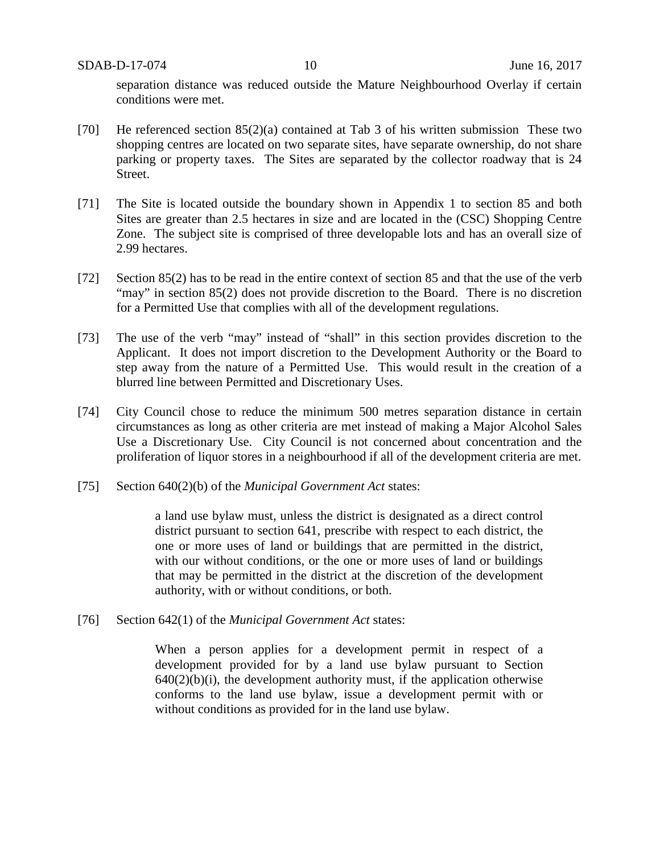separation distance was reduced outside the Mature Neighbourhood Overlay if certain conditions were met.

- [70] He referenced section 85(2)(a) contained at Tab 3 of his written submission These two shopping centres are located on two separate sites, have separate ownership, do not share parking or property taxes. The Sites are separated by the collector roadway that is 24 Street.
- [71] The Site is located outside the boundary shown in Appendix 1 to section 85 and both Sites are greater than 2.5 hectares in size and are located in the (CSC) Shopping Centre Zone. The subject site is comprised of three developable lots and has an overall size of 2.99 hectares.
- [72] Section 85(2) has to be read in the entire context of section 85 and that the use of the verb "may" in section 85(2) does not provide discretion to the Board. There is no discretion for a Permitted Use that complies with all of the development regulations.
- [73] The use of the verb "may" instead of "shall" in this section provides discretion to the Applicant. It does not import discretion to the Development Authority or the Board to step away from the nature of a Permitted Use. This would result in the creation of a blurred line between Permitted and Discretionary Uses.
- [74] City Council chose to reduce the minimum 500 metres separation distance in certain circumstances as long as other criteria are met instead of making a Major Alcohol Sales Use a Discretionary Use. City Council is not concerned about concentration and the proliferation of liquor stores in a neighbourhood if all of the development criteria are met.
- [75] Section 640(2)(b) of the *Municipal Government Act* states:

a land use bylaw must, unless the district is designated as a direct control district pursuant to section 641, prescribe with respect to each district, the one or more uses of land or buildings that are permitted in the district, with our without conditions, or the one or more uses of land or buildings that may be permitted in the district at the discretion of the development authority, with or without conditions, or both.

[76] Section 642(1) of the *Municipal Government Act* states:

When a person applies for a development permit in respect of a development provided for by a land use bylaw pursuant to Section  $640(2)(b)(i)$ , the development authority must, if the application otherwise conforms to the land use bylaw, issue a development permit with or without conditions as provided for in the land use bylaw.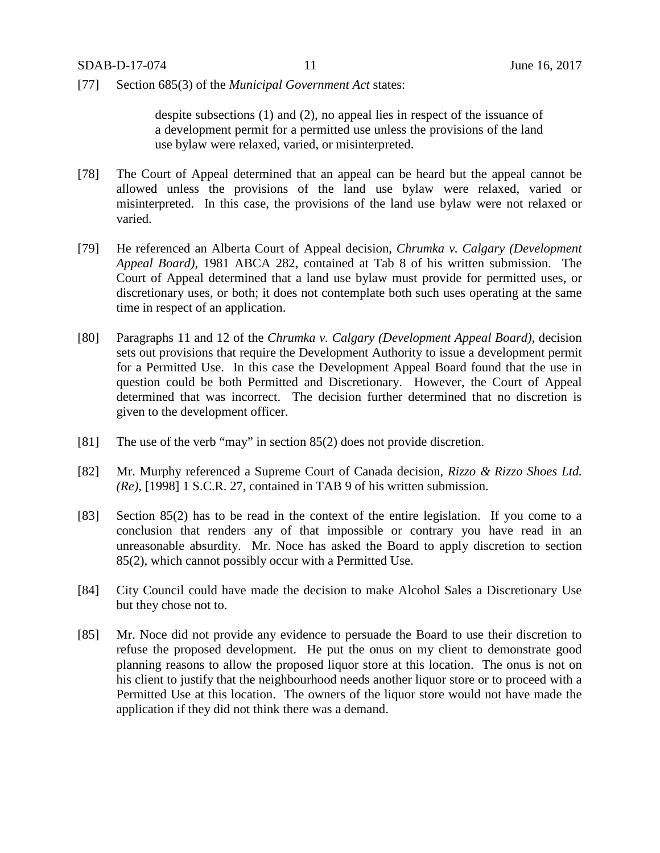[77] Section 685(3) of the *Municipal Government Act* states:

despite subsections (1) and (2), no appeal lies in respect of the issuance of a development permit for a permitted use unless the provisions of the land use bylaw were relaxed, varied, or misinterpreted.

- [78] The Court of Appeal determined that an appeal can be heard but the appeal cannot be allowed unless the provisions of the land use bylaw were relaxed, varied or misinterpreted. In this case, the provisions of the land use bylaw were not relaxed or varied.
- [79] He referenced an Alberta Court of Appeal decision, *Chrumka v. Calgary (Development Appeal Board),* 1981 ABCA 282, contained at Tab 8 of his written submission. The Court of Appeal determined that a land use bylaw must provide for permitted uses, or discretionary uses, or both; it does not contemplate both such uses operating at the same time in respect of an application.
- [80] Paragraphs 11 and 12 of the *Chrumka v. Calgary (Development Appeal Board)*, decision sets out provisions that require the Development Authority to issue a development permit for a Permitted Use. In this case the Development Appeal Board found that the use in question could be both Permitted and Discretionary. However, the Court of Appeal determined that was incorrect. The decision further determined that no discretion is given to the development officer.
- [81] The use of the verb "may" in section 85(2) does not provide discretion.
- [82] Mr. Murphy referenced a Supreme Court of Canada decision, *Rizzo & Rizzo Shoes Ltd. (Re)*, [1998] 1 S.C.R. 27, contained in TAB 9 of his written submission.
- [83] Section 85(2) has to be read in the context of the entire legislation. If you come to a conclusion that renders any of that impossible or contrary you have read in an unreasonable absurdity. Mr. Noce has asked the Board to apply discretion to section 85(2), which cannot possibly occur with a Permitted Use.
- [84] City Council could have made the decision to make Alcohol Sales a Discretionary Use but they chose not to.
- [85] Mr. Noce did not provide any evidence to persuade the Board to use their discretion to refuse the proposed development. He put the onus on my client to demonstrate good planning reasons to allow the proposed liquor store at this location. The onus is not on his client to justify that the neighbourhood needs another liquor store or to proceed with a Permitted Use at this location. The owners of the liquor store would not have made the application if they did not think there was a demand.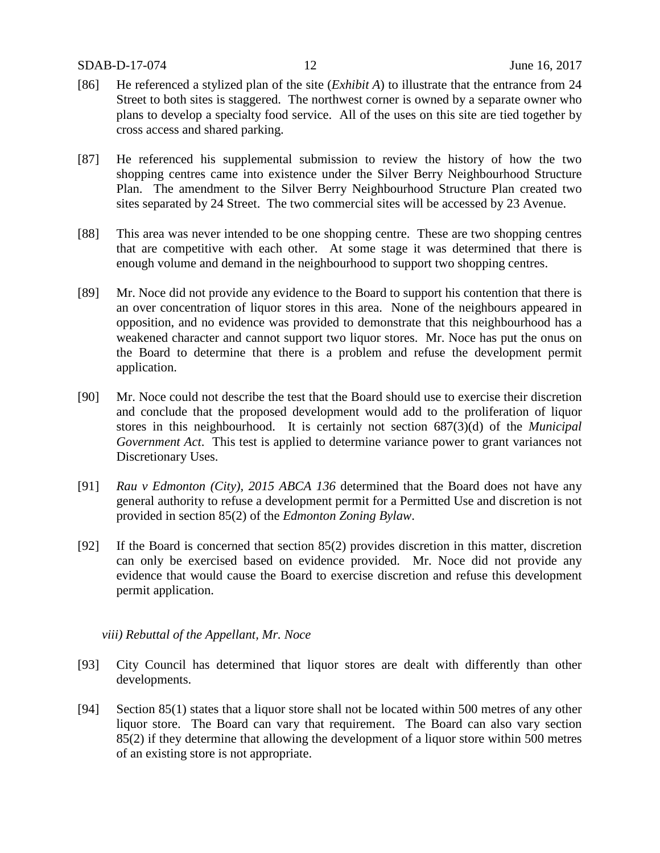#### SDAB-D-17-074 12 June 16, 2017

- [86] He referenced a stylized plan of the site (*Exhibit A*) to illustrate that the entrance from 24 Street to both sites is staggered. The northwest corner is owned by a separate owner who plans to develop a specialty food service. All of the uses on this site are tied together by cross access and shared parking.
- [87] He referenced his supplemental submission to review the history of how the two shopping centres came into existence under the Silver Berry Neighbourhood Structure Plan. The amendment to the Silver Berry Neighbourhood Structure Plan created two sites separated by 24 Street. The two commercial sites will be accessed by 23 Avenue.
- [88] This area was never intended to be one shopping centre. These are two shopping centres that are competitive with each other. At some stage it was determined that there is enough volume and demand in the neighbourhood to support two shopping centres.
- [89] Mr. Noce did not provide any evidence to the Board to support his contention that there is an over concentration of liquor stores in this area. None of the neighbours appeared in opposition, and no evidence was provided to demonstrate that this neighbourhood has a weakened character and cannot support two liquor stores. Mr. Noce has put the onus on the Board to determine that there is a problem and refuse the development permit application.
- [90] Mr. Noce could not describe the test that the Board should use to exercise their discretion and conclude that the proposed development would add to the proliferation of liquor stores in this neighbourhood. It is certainly not section 687(3)(d) of the *Municipal Government Act*. This test is applied to determine variance power to grant variances not Discretionary Uses.
- [91] *Rau v Edmonton (City), 2015 ABCA 136* determined that the Board does not have any general authority to refuse a development permit for a Permitted Use and discretion is not provided in section 85(2) of the *Edmonton Zoning Bylaw*.
- [92] If the Board is concerned that section 85(2) provides discretion in this matter, discretion can only be exercised based on evidence provided. Mr. Noce did not provide any evidence that would cause the Board to exercise discretion and refuse this development permit application.

### *viii) Rebuttal of the Appellant, Mr. Noce*

- [93] City Council has determined that liquor stores are dealt with differently than other developments.
- [94] Section 85(1) states that a liquor store shall not be located within 500 metres of any other liquor store. The Board can vary that requirement. The Board can also vary section 85(2) if they determine that allowing the development of a liquor store within 500 metres of an existing store is not appropriate.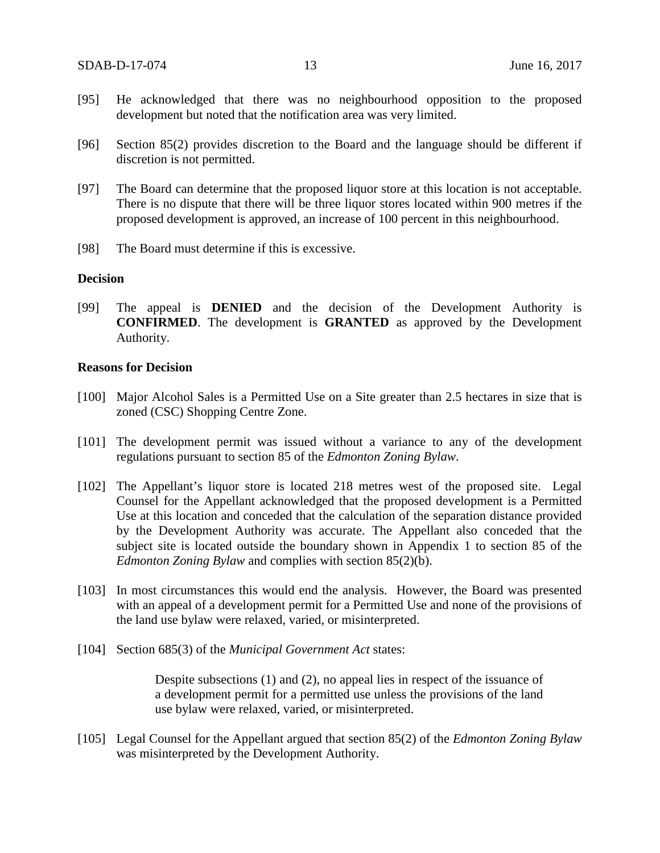- [95] He acknowledged that there was no neighbourhood opposition to the proposed development but noted that the notification area was very limited.
- [96] Section 85(2) provides discretion to the Board and the language should be different if discretion is not permitted.
- [97] The Board can determine that the proposed liquor store at this location is not acceptable. There is no dispute that there will be three liquor stores located within 900 metres if the proposed development is approved, an increase of 100 percent in this neighbourhood.
- [98] The Board must determine if this is excessive.

#### **Decision**

[99] The appeal is **DENIED** and the decision of the Development Authority is **CONFIRMED**. The development is **GRANTED** as approved by the Development Authority.

#### **Reasons for Decision**

- [100] Major Alcohol Sales is a Permitted Use on a Site greater than 2.5 hectares in size that is zoned (CSC) Shopping Centre Zone.
- [101] The development permit was issued without a variance to any of the development regulations pursuant to section 85 of the *Edmonton Zoning Bylaw*.
- [102] The Appellant's liquor store is located 218 metres west of the proposed site. Legal Counsel for the Appellant acknowledged that the proposed development is a Permitted Use at this location and conceded that the calculation of the separation distance provided by the Development Authority was accurate. The Appellant also conceded that the subject site is located outside the boundary shown in Appendix 1 to section 85 of the *Edmonton Zoning Bylaw* and complies with section 85(2)(b).
- [103] In most circumstances this would end the analysis. However, the Board was presented with an appeal of a development permit for a Permitted Use and none of the provisions of the land use bylaw were relaxed, varied, or misinterpreted.
- [104] Section 685(3) of the *Municipal Government Act* states:

Despite subsections (1) and (2), no appeal lies in respect of the issuance of a development permit for a permitted use unless the provisions of the land use bylaw were relaxed, varied, or misinterpreted.

[105] Legal Counsel for the Appellant argued that section 85(2) of the *Edmonton Zoning Bylaw* was misinterpreted by the Development Authority.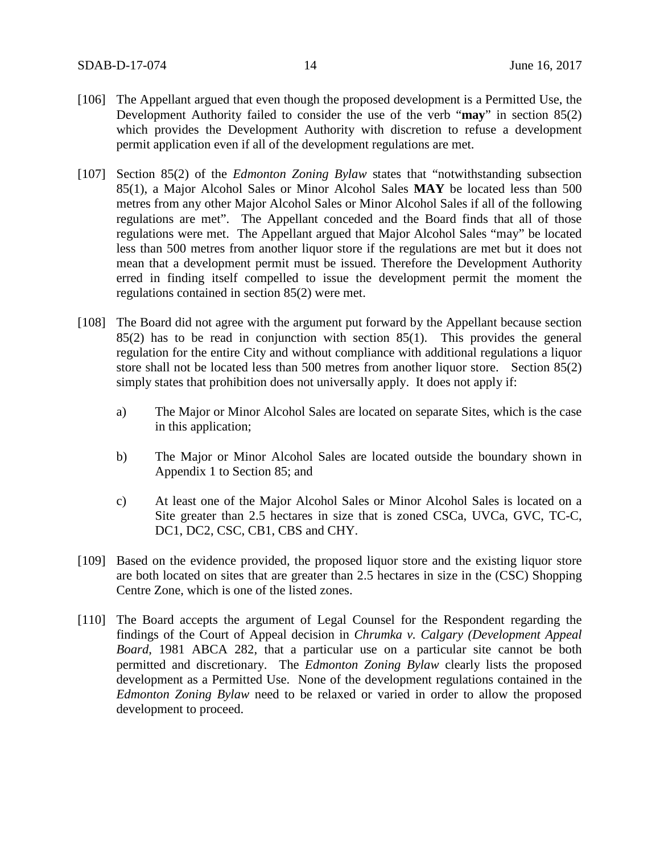- [106] The Appellant argued that even though the proposed development is a Permitted Use, the Development Authority failed to consider the use of the verb "**may**" in section 85(2) which provides the Development Authority with discretion to refuse a development permit application even if all of the development regulations are met.
- [107] Section 85(2) of the *Edmonton Zoning Bylaw* states that "notwithstanding subsection 85(1), a Major Alcohol Sales or Minor Alcohol Sales **MAY** be located less than 500 metres from any other Major Alcohol Sales or Minor Alcohol Sales if all of the following regulations are met". The Appellant conceded and the Board finds that all of those regulations were met. The Appellant argued that Major Alcohol Sales "may" be located less than 500 metres from another liquor store if the regulations are met but it does not mean that a development permit must be issued. Therefore the Development Authority erred in finding itself compelled to issue the development permit the moment the regulations contained in section 85(2) were met.
- [108] The Board did not agree with the argument put forward by the Appellant because section 85(2) has to be read in conjunction with section 85(1). This provides the general regulation for the entire City and without compliance with additional regulations a liquor store shall not be located less than 500 metres from another liquor store. Section 85(2) simply states that prohibition does not universally apply. It does not apply if:
	- a) The Major or Minor Alcohol Sales are located on separate Sites, which is the case in this application;
	- b) The Major or Minor Alcohol Sales are located outside the boundary shown in Appendix 1 to Section 85; and
	- c) At least one of the Major Alcohol Sales or Minor Alcohol Sales is located on a Site greater than 2.5 hectares in size that is zoned CSCa, UVCa, GVC, TC-C, DC1, DC2, CSC, CB1, CBS and CHY.
- [109] Based on the evidence provided, the proposed liquor store and the existing liquor store are both located on sites that are greater than 2.5 hectares in size in the (CSC) Shopping Centre Zone, which is one of the listed zones.
- [110] The Board accepts the argument of Legal Counsel for the Respondent regarding the findings of the Court of Appeal decision in *Chrumka v. Calgary (Development Appeal Board*, 1981 ABCA 282, that a particular use on a particular site cannot be both permitted and discretionary. The *Edmonton Zoning Bylaw* clearly lists the proposed development as a Permitted Use. None of the development regulations contained in the *Edmonton Zoning Bylaw* need to be relaxed or varied in order to allow the proposed development to proceed.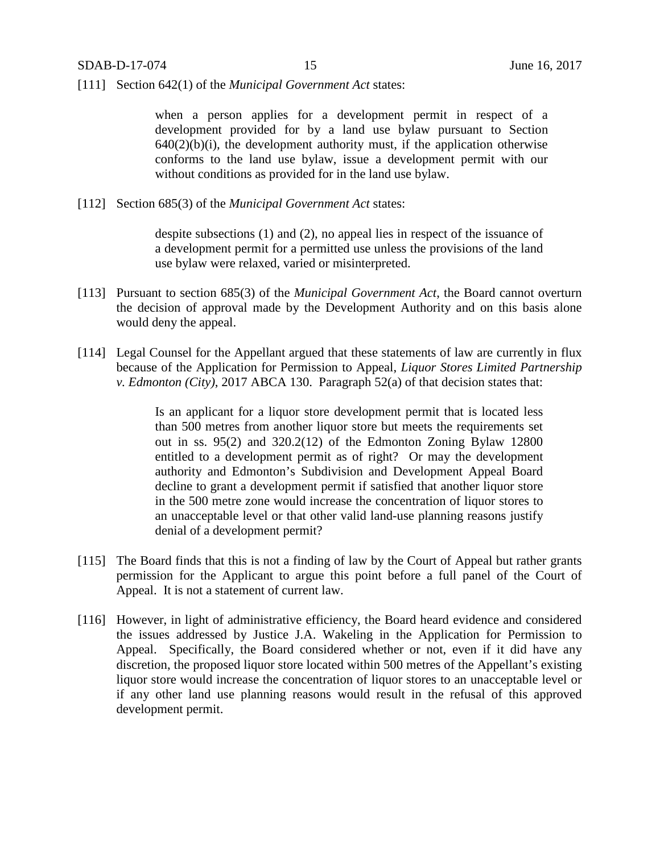[111] Section 642(1) of the *Municipal Government Act* states:

when a person applies for a development permit in respect of a development provided for by a land use bylaw pursuant to Section  $640(2)(b)(i)$ , the development authority must, if the application otherwise conforms to the land use bylaw, issue a development permit with our without conditions as provided for in the land use bylaw.

[112] Section 685(3) of the *Municipal Government Act* states:

despite subsections (1) and (2), no appeal lies in respect of the issuance of a development permit for a permitted use unless the provisions of the land use bylaw were relaxed, varied or misinterpreted.

- [113] Pursuant to section 685(3) of the *Municipal Government Act*, the Board cannot overturn the decision of approval made by the Development Authority and on this basis alone would deny the appeal.
- [114] Legal Counsel for the Appellant argued that these statements of law are currently in flux because of the Application for Permission to Appeal, *Liquor Stores Limited Partnership v. Edmonton (City)*, 2017 ABCA 130. Paragraph 52(a) of that decision states that:

Is an applicant for a liquor store development permit that is located less than 500 metres from another liquor store but meets the requirements set out in ss. 95(2) and 320.2(12) of the Edmonton Zoning Bylaw 12800 entitled to a development permit as of right? Or may the development authority and Edmonton's Subdivision and Development Appeal Board decline to grant a development permit if satisfied that another liquor store in the 500 metre zone would increase the concentration of liquor stores to an unacceptable level or that other valid land-use planning reasons justify denial of a development permit?

- [115] The Board finds that this is not a finding of law by the Court of Appeal but rather grants permission for the Applicant to argue this point before a full panel of the Court of Appeal. It is not a statement of current law.
- [116] However, in light of administrative efficiency, the Board heard evidence and considered the issues addressed by Justice J.A. Wakeling in the Application for Permission to Appeal. Specifically, the Board considered whether or not, even if it did have any discretion, the proposed liquor store located within 500 metres of the Appellant's existing liquor store would increase the concentration of liquor stores to an unacceptable level or if any other land use planning reasons would result in the refusal of this approved development permit.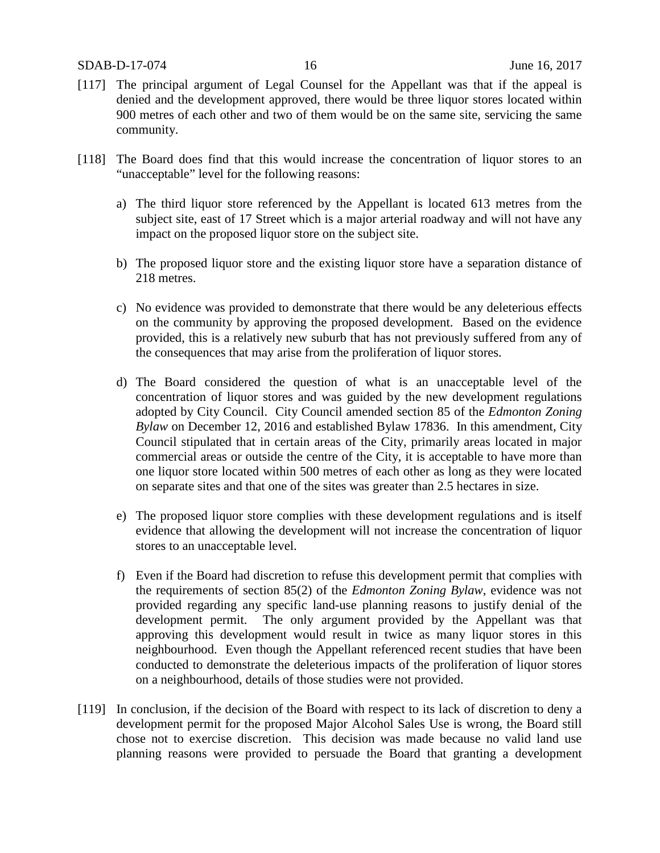- [117] The principal argument of Legal Counsel for the Appellant was that if the appeal is denied and the development approved, there would be three liquor stores located within 900 metres of each other and two of them would be on the same site, servicing the same community.
- [118] The Board does find that this would increase the concentration of liquor stores to an "unacceptable" level for the following reasons:
	- a) The third liquor store referenced by the Appellant is located 613 metres from the subject site, east of 17 Street which is a major arterial roadway and will not have any impact on the proposed liquor store on the subject site.
	- b) The proposed liquor store and the existing liquor store have a separation distance of 218 metres.
	- c) No evidence was provided to demonstrate that there would be any deleterious effects on the community by approving the proposed development. Based on the evidence provided, this is a relatively new suburb that has not previously suffered from any of the consequences that may arise from the proliferation of liquor stores.
	- d) The Board considered the question of what is an unacceptable level of the concentration of liquor stores and was guided by the new development regulations adopted by City Council. City Council amended section 85 of the *Edmonton Zoning Bylaw* on December 12, 2016 and established Bylaw 17836. In this amendment, City Council stipulated that in certain areas of the City, primarily areas located in major commercial areas or outside the centre of the City, it is acceptable to have more than one liquor store located within 500 metres of each other as long as they were located on separate sites and that one of the sites was greater than 2.5 hectares in size.
	- e) The proposed liquor store complies with these development regulations and is itself evidence that allowing the development will not increase the concentration of liquor stores to an unacceptable level.
	- f) Even if the Board had discretion to refuse this development permit that complies with the requirements of section 85(2) of the *Edmonton Zoning Bylaw*, evidence was not provided regarding any specific land-use planning reasons to justify denial of the development permit. The only argument provided by the Appellant was that approving this development would result in twice as many liquor stores in this neighbourhood. Even though the Appellant referenced recent studies that have been conducted to demonstrate the deleterious impacts of the proliferation of liquor stores on a neighbourhood, details of those studies were not provided.
- [119] In conclusion, if the decision of the Board with respect to its lack of discretion to deny a development permit for the proposed Major Alcohol Sales Use is wrong, the Board still chose not to exercise discretion. This decision was made because no valid land use planning reasons were provided to persuade the Board that granting a development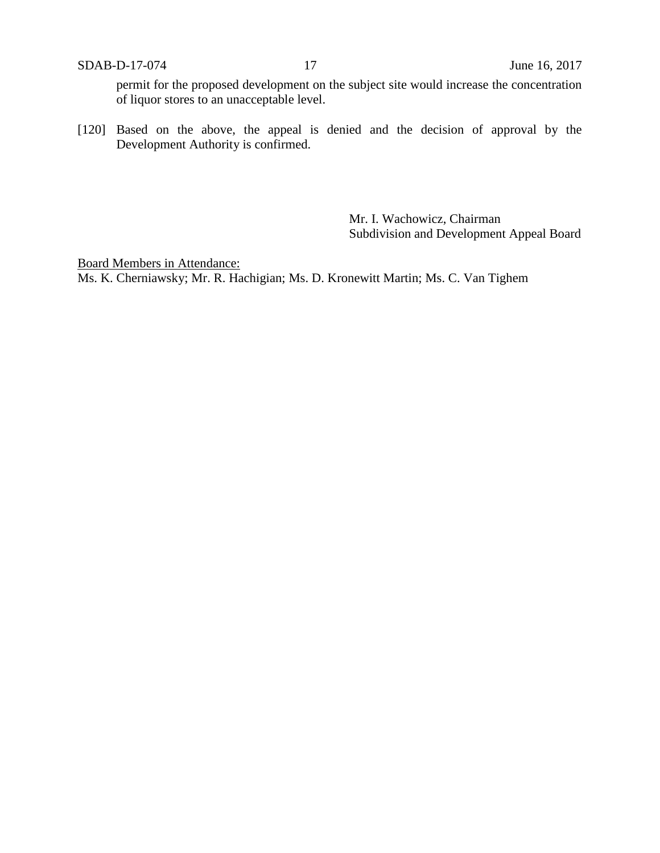permit for the proposed development on the subject site would increase the concentration of liquor stores to an unacceptable level.

[120] Based on the above, the appeal is denied and the decision of approval by the Development Authority is confirmed.

> Mr. I. Wachowicz, Chairman Subdivision and Development Appeal Board

Board Members in Attendance: Ms. K. Cherniawsky; Mr. R. Hachigian; Ms. D. Kronewitt Martin; Ms. C. Van Tighem